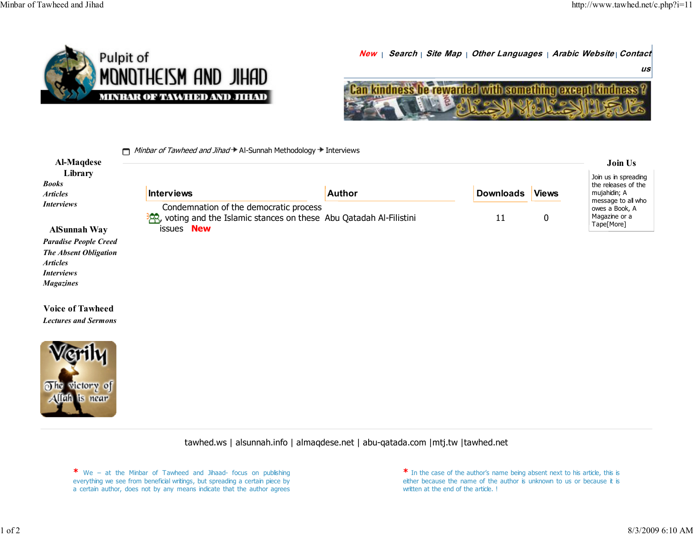

New  $\mid$  Search  $\mid$  Site Map  $\mid$  Other Languages  $\mid$  Arabic Website $\mid$  Contact





|                                                                                                                          | Minbar of Tawheed and Jihad + Al-Sunnah Methodology + Interviews<br>⊓                                                             |               |                  |              |                                                                     |
|--------------------------------------------------------------------------------------------------------------------------|-----------------------------------------------------------------------------------------------------------------------------------|---------------|------------------|--------------|---------------------------------------------------------------------|
| <b>Al-Maqdese</b><br>Library<br><b>Books</b>                                                                             |                                                                                                                                   |               |                  |              | Join Us<br>Join us in spreading<br>the releases of the              |
| <b>Articles</b>                                                                                                          | <b>Interviews</b>                                                                                                                 | <b>Author</b> | <b>Downloads</b> | <b>Views</b> | mujahidin; A                                                        |
| <i>Interviews</i><br><b>AlSunnah Way</b>                                                                                 | Condemnation of the democratic process<br>the state of the Islamic stances on these Abu Qatadah Al-Filistini<br>issues <b>New</b> |               | 11               | $\bf{0}$     | message to all who<br>owes a Book, A<br>Magazine or a<br>Tape[More] |
| <b>Paradise People Creed</b><br><b>The Absent Obligation</b><br><b>Articles</b><br><i>Interviews</i><br><b>Magazines</b> |                                                                                                                                   |               |                  |              |                                                                     |
| <b>Voice of Tawheed</b><br><b>Lectures and Sermons</b>                                                                   |                                                                                                                                   |               |                  |              |                                                                     |
|                                                                                                                          |                                                                                                                                   |               |                  |              |                                                                     |

tawhed.ws | alsunnah.info | almaqdese.net | abu-qatada.com |mtj.tw |tawhed.net

\* We – at the Minbar of Tawheed and Jihaad- focus on publishing everything we see from beneficial writings, but spreading a certain piece by a certain author, does not by any means indicate that the author agrees

\* In the case of the author's name being absent next to his article, this is either because the name of the author is unknown to us or because it iswritten at the end of the article. !

The victory of Allah is near